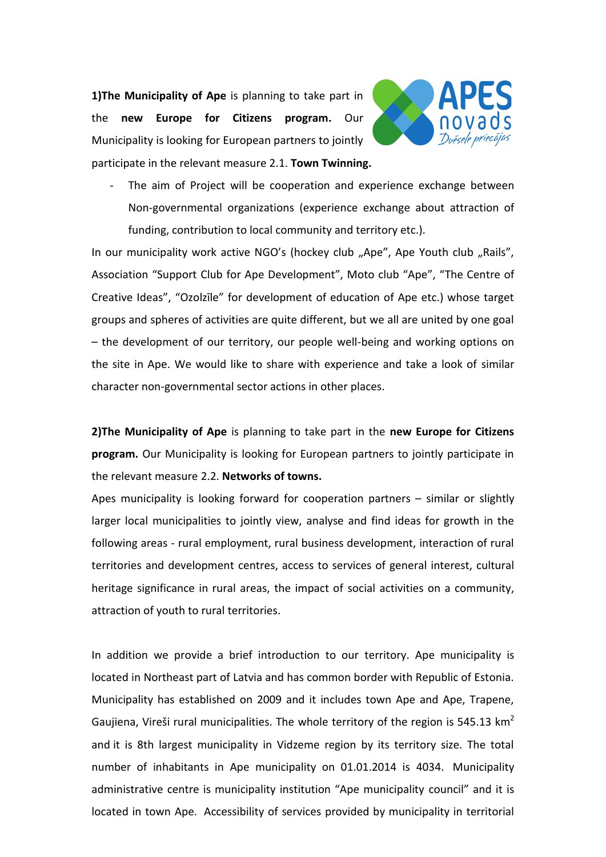**1)The Municipality of Ape** is planning to take part in the **new Europe for Citizens program.** Our Municipality is looking for European partners to jointly participate in the relevant measure 2.1. **Town Twinning.**



The aim of Project will be cooperation and experience exchange between Non-governmental organizations (experience exchange about attraction of funding, contribution to local community and territory etc.).

In our municipality work active NGO's (hockey club "Ape", Ape Youth club "Rails", Association "Support Club for Ape Development", Moto club "Ape", "The Centre of Creative Ideas", "Ozolzīle" for development of education of Ape etc.) whose target groups and spheres of activities are quite different, but we all are united by one goal – the development of our territory, our people well-being and working options on the site in Ape. We would like to share with experience and take a look of similar character non-governmental sector actions in other places.

**2)The Municipality of Ape** is planning to take part in the **new Europe for Citizens program.** Our Municipality is looking for European partners to jointly participate in the relevant measure 2.2. **Networks of towns.**

Apes municipality is looking forward for cooperation partners – similar or slightly larger local municipalities to jointly view, analyse and find ideas for growth in the following areas - rural employment, rural business development, interaction of rural territories and development centres, access to services of general interest, cultural heritage significance in rural areas, the impact of social activities on a community, attraction of youth to rural territories.

In addition we provide a brief introduction to our territory. Ape municipality is located in Northeast part of Latvia and has common border with Republic of Estonia. Municipality has established on 2009 and it includes town Ape and Ape, Trapene, Gaujiena, Vireši rural municipalities. The whole territory of the region is 545.13  $km^2$ and it is 8th largest municipality in Vidzeme region by its territory size. The total number of inhabitants in Ape municipality on 01.01.2014 is 4034. Municipality administrative centre is municipality institution "Ape municipality council" and it is located in town Ape. Accessibility of services provided by municipality in territorial